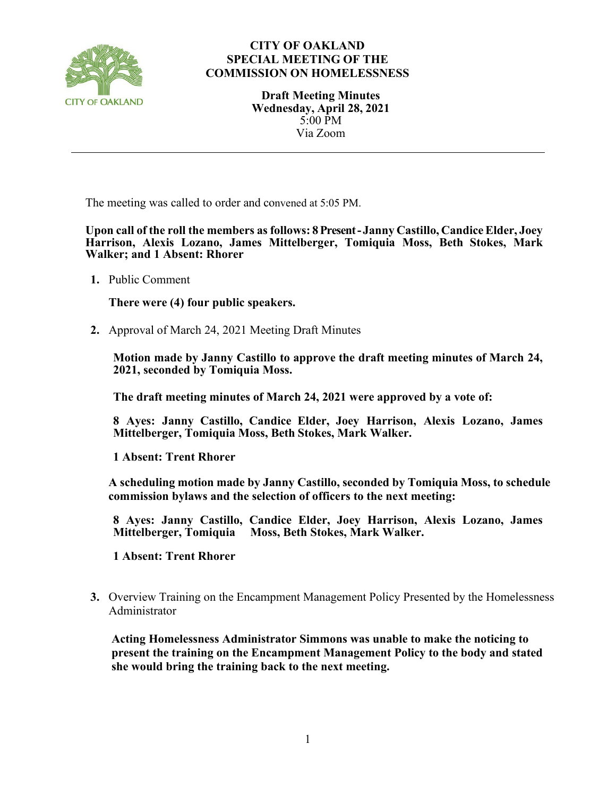

## **CITY OF OAKLAND SPECIAL MEETING OF THE COMMISSION ON HOMELESSNESS**

**Draft Meeting Minutes Wednesday, April 28, 2021** 5:00 PM Via Zoom

The meeting was called to order and convened at 5:05 PM.

**Upon call of the roll the members as follows: 8 Present- Janny Castillo, CandiceElder, Joey Harrison, Alexis Lozano, James Mittelberger, Tomiquia Moss, Beth Stokes, Mark Walker; and 1 Absent: Rhorer**

**1.** Public Comment

**There were (4) four public speakers.**

**2.** Approval of March 24, 2021 Meeting Draft Minutes

**Motion made by Janny Castillo to approve the draft meeting minutes of March 24, 2021, seconded by Tomiquia Moss.**

**The draft meeting minutes of March 24, 2021 were approved by a vote of:**

**8 Ayes: Janny Castillo, Candice Elder, Joey Harrison, Alexis Lozano, James Mittelberger, Tomiquia Moss, Beth Stokes, Mark Walker.**

**1 Absent: Trent Rhorer**

**A scheduling motion made by Janny Castillo, seconded by Tomiquia Moss, to schedule commission bylaws and the selection of officers to the next meeting:** 

**8 Ayes: Janny Castillo, Candice Elder, Joey Harrison, Alexis Lozano, James Mittelberger, Tomiquia Moss, Beth Stokes, Mark Walker.**

**1 Absent: Trent Rhorer**

**3.** Overview Training on the Encampment Management Policy Presented by the Homelessness Administrator

**Acting Homelessness Administrator Simmons was unable to make the noticing to present the training on the Encampment Management Policy to the body and stated she would bring the training back to the next meeting.**